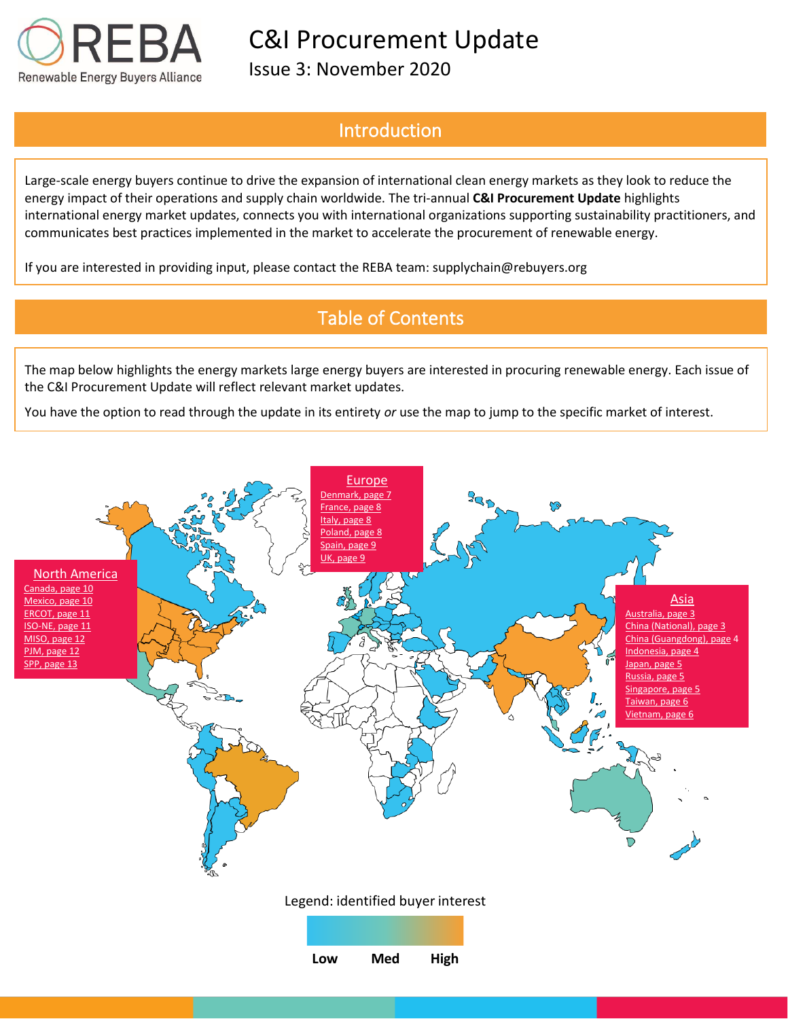

Issue 3: November 2020

## Introduction

Large-scale energy buyers continue to drive the expansion of international clean energy markets as they look to reduce the energy impact of their operations and supply chain worldwide. The tri-annual **C&I Procurement Update** highlights international energy market updates, connects you with international organizations supporting sustainability practitioners, and communicates best practices implemented in the market to accelerate the procurement of renewable energy.

If you are interested in providing input, please contact the REBA team: supplychain@rebuyers.org

# Table of Contents

The map below highlights the energy markets large energy buyers are interested in procuring renewable energy. Each issue of the C&I Procurement Update will reflect relevant market updates.

You have the option to read through the update in its entirety *or* use the map to jump to the specific market of interest.

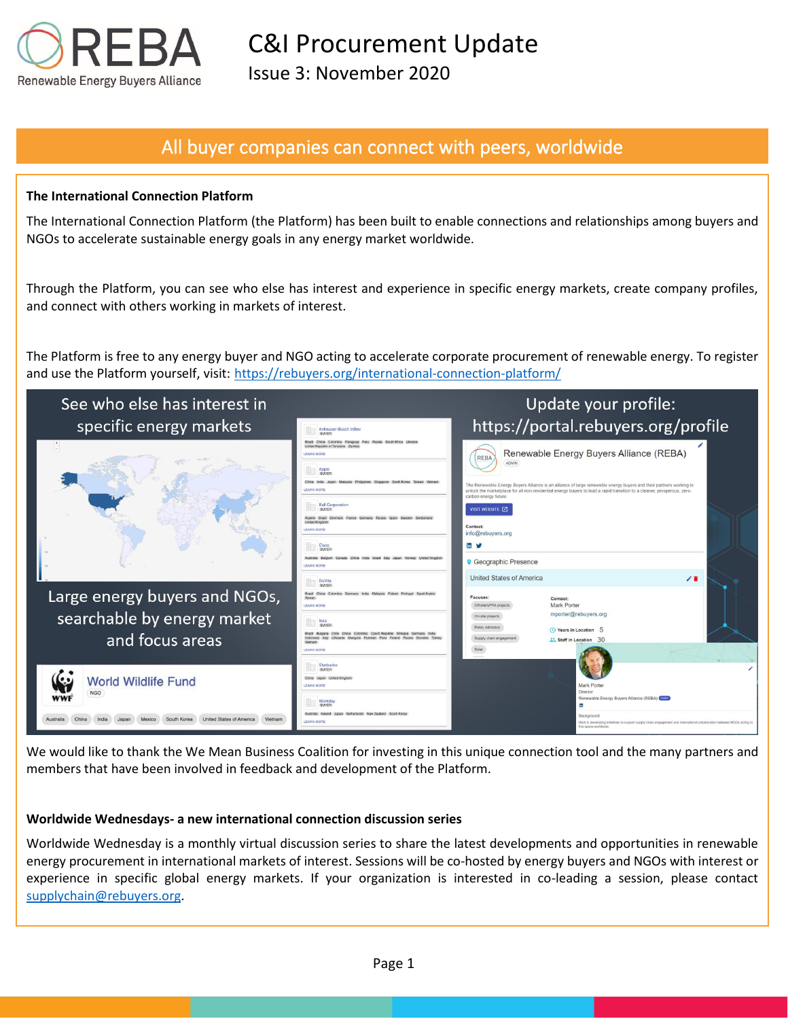

Issue 3: November 2020

## All buyer companies can connect with peers, worldwide

#### **The International Connection Platform**

The International Connection Platform (the Platform) has been built to enable connections and relationships among buyers and NGOs to accelerate sustainable energy goals in any energy market worldwide.

Through the Platform, you can see who else has interest and experience in specific energy markets, create company profiles, and connect with others working in markets of interest.

The Platform is free to any energy buyer and NGO acting to accelerate corporate procurement of renewable energy. To register and use the Platform yourself, visit: https://rebuyers.org/international-connection-platform/



We would like to thank the We Mean Business Coalition for investing in this unique connection tool and the many partners and members that have been involved in feedback and development of the Platform.

#### **Worldwide Wednesdays- a new international connection discussion series**

Worldwide Wednesday is a monthly virtual discussion series to share the latest developments and opportunities in renewable energy procurement in international markets of interest. Sessions will be co-hosted by energy buyers and NGOs with interest or experience in specific global energy markets. If your organization is interested in co-leading a session, please contact [supplychain@rebuyers.org.](mailto:supplychain@rebuyers.org)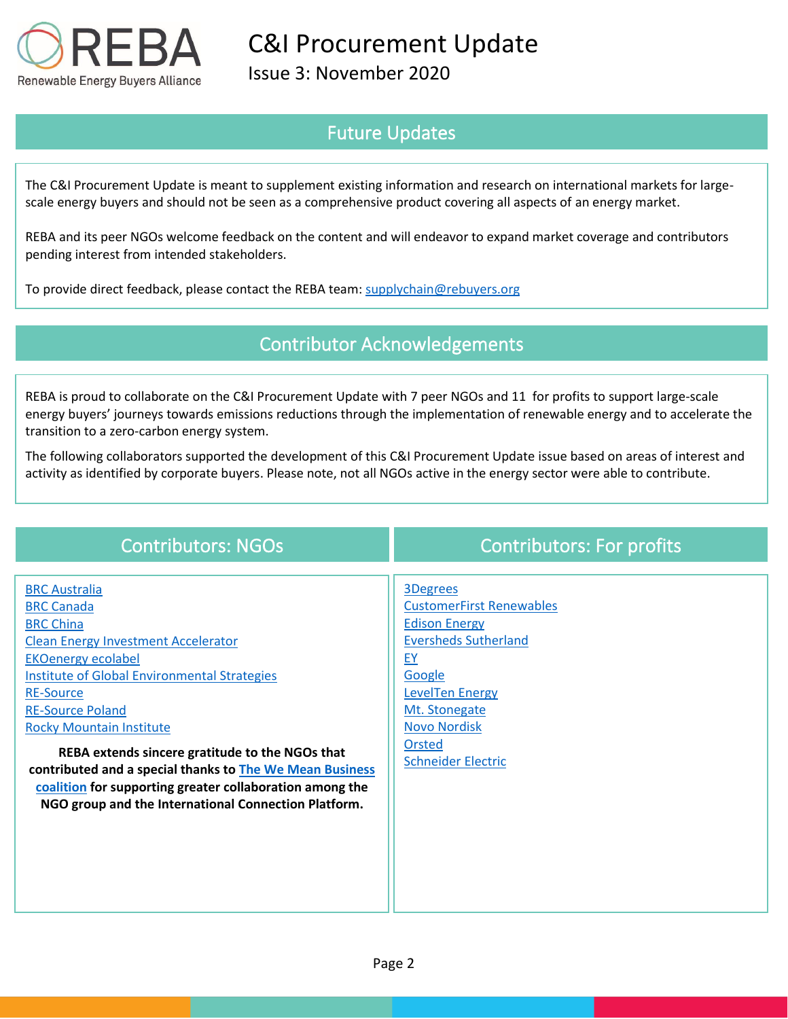

Issue 3: November 2020

## Future Updates

The C&I Procurement Update is meant to supplement existing information and research on international markets for largescale energy buyers and should not be seen as a comprehensive product covering all aspects of an energy market.

REBA and its peer NGOs welcome feedback on the content and will endeavor to expand market coverage and contributors pending interest from intended stakeholders.

To provide direct feedback, please contact the REBA team: [supplychain@rebuyers.org](mailto:supplychain@rebuyers.org)

## Contributor Acknowledgements

REBA is proud to collaborate on the C&I Procurement Update with 7 peer NGOs and 11 for profits to support large-scale energy buyers' journeys towards emissions reductions through the implementation of renewable energy and to accelerate the transition to a zero-carbon energy system.

The following collaborators supported the development of this C&I Procurement Update issue based on areas of interest and activity as identified by corporate buyers. Please note, not all NGOs active in the energy sector were able to contribute.

| <b>BRC Australia</b><br><b>3Degrees</b><br><b>CustomerFirst Renewables</b><br><b>BRC Canada</b><br><b>Edison Energy</b><br><b>BRC China</b><br><b>Eversheds Sutherland</b><br><b>Clean Energy Investment Accelerator</b><br><b>EKOenergy ecolabel</b><br><b>EY</b><br><b>Institute of Global Environmental Strategies</b><br>Google<br><b>LevelTen Energy</b><br><b>RE-Source</b><br><b>RE-Source Poland</b><br>Mt. Stonegate<br><b>Novo Nordisk</b><br><b>Rocky Mountain Institute</b><br>Orsted<br>REBA extends sincere gratitude to the NGOs that<br><b>Schneider Electric</b><br>contributed and a special thanks to The We Mean Business<br>coalition for supporting greater collaboration among the<br>NGO group and the International Connection Platform. | <b>Contributors: NGOs</b> | <b>Contributors: For profits</b> |
|-------------------------------------------------------------------------------------------------------------------------------------------------------------------------------------------------------------------------------------------------------------------------------------------------------------------------------------------------------------------------------------------------------------------------------------------------------------------------------------------------------------------------------------------------------------------------------------------------------------------------------------------------------------------------------------------------------------------------------------------------------------------|---------------------------|----------------------------------|
|                                                                                                                                                                                                                                                                                                                                                                                                                                                                                                                                                                                                                                                                                                                                                                   |                           |                                  |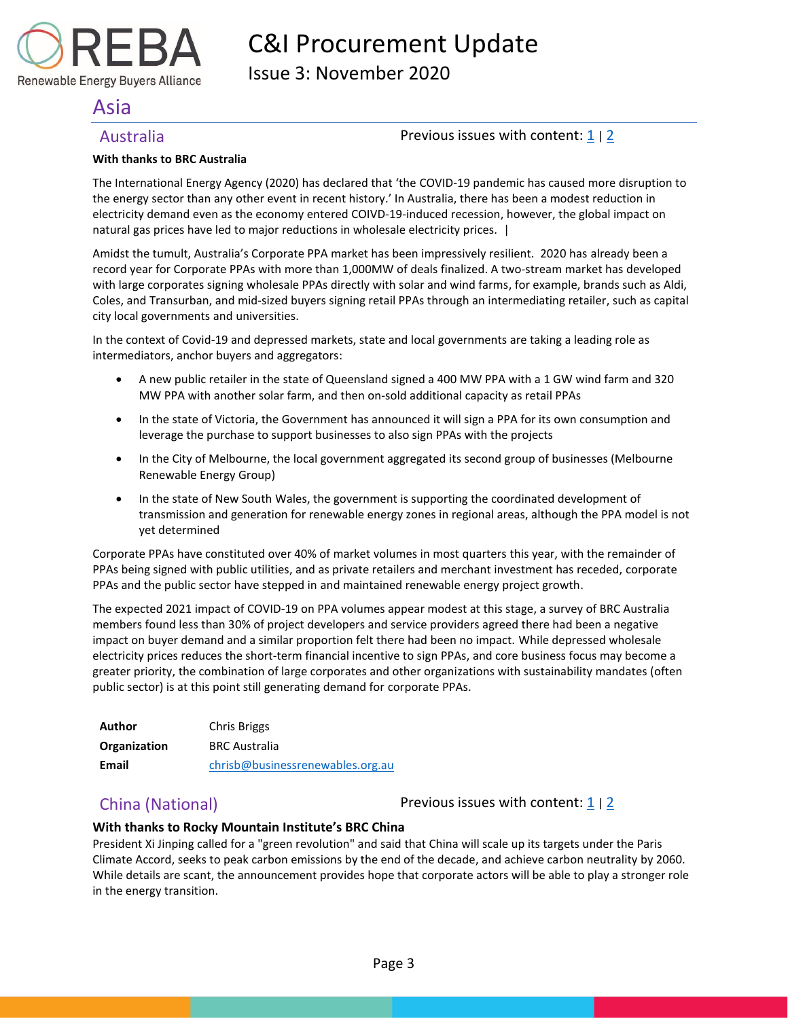Issue 3: November 2020

## <span id="page-3-0"></span>Asia

Renewable Energy Buyers Alliance

### <span id="page-3-1"></span>Australia **Previous issues with content:** [1](https://reba2019dev.wpengine.com/wp-content/uploads/2020/02/REBA-CI-Procurement-Update_Feb-2020-1.pdf) | [2](https://rebuyers.org/wp-content/uploads/2020/07/C_I_Procurement_Update_Issue_2.pdf)

#### **With thanks to BRC Australia**

The International Energy Agency (2020) has declared that 'the COVID-19 pandemic has caused more disruption to the energy sector than any other event in recent history.' In Australia, there has been a modest reduction in electricity demand even as the economy entered COIVD-19-induced recession, however, the global impact on natural gas prices have led to major reductions in wholesale electricity prices. |

Amidst the tumult, Australia's Corporate PPA market has been impressively resilient. 2020 has already been a record year for Corporate PPAs with more than 1,000MW of deals finalized. A two-stream market has developed with large corporates signing wholesale PPAs directly with solar and wind farms, for example, brands such as Aldi, Coles, and Transurban, and mid-sized buyers signing retail PPAs through an intermediating retailer, such as capital city local governments and universities.

In the context of Covid-19 and depressed markets, state and local governments are taking a leading role as intermediators, anchor buyers and aggregators:

- A new public retailer in the state of Queensland signed a 400 MW PPA with a 1 GW wind farm and 320 MW PPA with another solar farm, and then on-sold additional capacity as retail PPAs
- In the state of Victoria, the Government has announced it will sign a PPA for its own consumption and leverage the purchase to support businesses to also sign PPAs with the projects
- In the City of Melbourne, the local government aggregated its second group of businesses (Melbourne Renewable Energy Group)
- In the state of New South Wales, the government is supporting the coordinated development of transmission and generation for renewable energy zones in regional areas, although the PPA model is not yet determined

Corporate PPAs have constituted over 40% of market volumes in most quarters this year, with the remainder of PPAs being signed with public utilities, and as private retailers and merchant investment has receded, corporate PPAs and the public sector have stepped in and maintained renewable energy project growth.

The expected 2021 impact of COVID-19 on PPA volumes appear modest at this stage, a survey of BRC Australia members found less than 30% of project developers and service providers agreed there had been a negative impact on buyer demand and a similar proportion felt there had been no impact. While depressed wholesale electricity prices reduces the short-term financial incentive to sign PPAs, and core business focus may become a greater priority, the combination of large corporates and other organizations with sustainability mandates (often public sector) is at this point still generating demand for corporate PPAs.

| Author       | Chris Briggs                     |
|--------------|----------------------------------|
| Organization | <b>BRC Australia</b>             |
| Email        | chrisb@businessrenewables.org.au |

<span id="page-3-2"></span>China (National) **Previous issues with content:**  $\frac{1}{2}$  $\frac{1}{2}$  $\frac{1}{2}$ 

#### **With thanks to Rocky Mountain Institute's BRC China**

President Xi Jinping called for a "green revolution" and said that China will scale up its targets under the Paris Climate Accord, seeks to peak carbon emissions by the end of the decade, and achieve carbon neutrality by 2060. While details are scant, the announcement provides hope that corporate actors will be able to play a stronger role in the energy transition.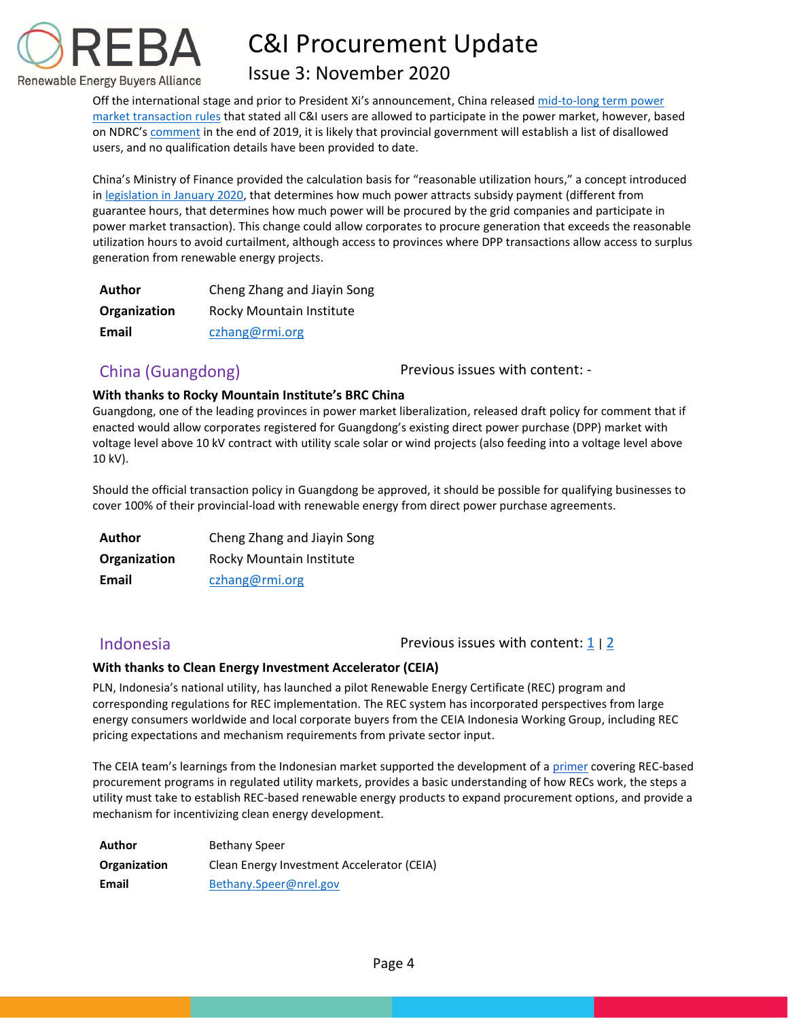

## Issue 3: November 2020

Off the international stage and prior to President Xi's announcement, China released [mid-to-long term power](https://www.ndrc.gov.cn/xxgk/zcfb/ghxwj/202007/t20200701_1232843.html)  [market transaction rules](https://www.ndrc.gov.cn/xxgk/zcfb/ghxwj/202007/t20200701_1232843.html) that stated all C&I users are allowed to participate in the power market, however, based on NDRC's [comment](https://info.rmi.org/e/310101/-202001-t20200114-1218939-html/t4ps17/621624198?h=0J3jIzUzW9kZIErqaVYRFmqOOsw1zSnp0I1ybOPuIpQ) in the end of 2019, it is likely that provincial government will establish a list of disallowed users, and no qualification details have been provided to date.

China's Ministry of Finance provided the calculation basis for "reasonable utilization hours," a concept introduced in [legislation in January 2020,](http://jjs.mof.gov.cn/zhengcefagui/202001/t20200122_3463379.htm) that determines how much power attracts subsidy payment (different from guarantee hours, that determines how much power will be procured by the grid companies and participate in power market transaction). This change could allow corporates to procure generation that exceeds the reasonable utilization hours to avoid curtailment, although access to provinces where DPP transactions allow access to surplus generation from renewable energy projects.

| Author       | Cheng Zhang and Jiayin Song |
|--------------|-----------------------------|
| Organization | Rocky Mountain Institute    |
| Email        | czhang@rmi.org              |

<span id="page-4-0"></span>China (Guangdong) The Previous issues with content: -

### **With thanks to Rocky Mountain Institute's BRC China**

Guangdong, one of the leading provinces in power market liberalization, released draft policy for comment that if enacted would allow corporates registered for Guangdong's existing direct power purchase (DPP) market with voltage level above 10 kV contract with utility scale solar or wind projects (also feeding into a voltage level above 10 kV).

Should the official transaction policy in Guangdong be approved, it should be possible for qualifying businesses to cover 100% of their provincial-load with renewable energy from direct power purchase agreements.

| Author       | Cheng Zhang and Jiayin Song |
|--------------|-----------------------------|
| Organization | Rocky Mountain Institute    |
| Email        | czhang@rmi.org              |

<span id="page-4-1"></span>Indonesia **Previous** issues with content:  $\frac{1}{2}$  $\frac{1}{2}$  $\frac{1}{2}$  | 2

### **With thanks to Clean Energy Investment Accelerator (CEIA)**

PLN, Indonesia's national utility, has launched a pilot Renewable Energy Certificate (REC) program and corresponding regulations for REC implementation. The REC system has incorporated perspectives from large energy consumers worldwide and local corporate buyers from the CEIA Indonesia Working Group, including REC pricing expectations and mechanism requirements from private sector input.

The CEIA team's learnings from the Indonesian market supported the development of [a primer](https://nam10.safelinks.protection.outlook.com/?url=https%3A%2F%2Fwww.nrel.gov%2Fdocs%2Ffy21osti%2F76927.pdf&data=04%7C01%7Ckkerr%40rebuyers.org%7Cb4f3538b1b9045ec011208d87c343163%7C85e98bb78ec64977a794ffb1ede0f3df%7C1%7C1%7C637395910909544148%7CUnknown%7CTWFpbGZsb3d8eyJWIjoiMC4wLjAwMDAiLCJQIjoiV2luMzIiLCJBTiI6Ik1haWwiLCJXVCI6Mn0%3D%7C1000&sdata=Tah%2BA9uksy8cf87LnJoX556fUnVwsa%2Fx%2BDs%2F2fM7bVU%3D&reserved=0) covering REC-based procurement programs in regulated utility markets, provides a basic understanding of how RECs work, the steps a utility must take to establish REC-based renewable energy products to expand procurement options, and provide a mechanism for incentivizing clean energy development.

| Author       | <b>Bethany Speer</b>                       |
|--------------|--------------------------------------------|
| Organization | Clean Energy Investment Accelerator (CEIA) |
| Email        | Bethany.Speer@nrel.gov                     |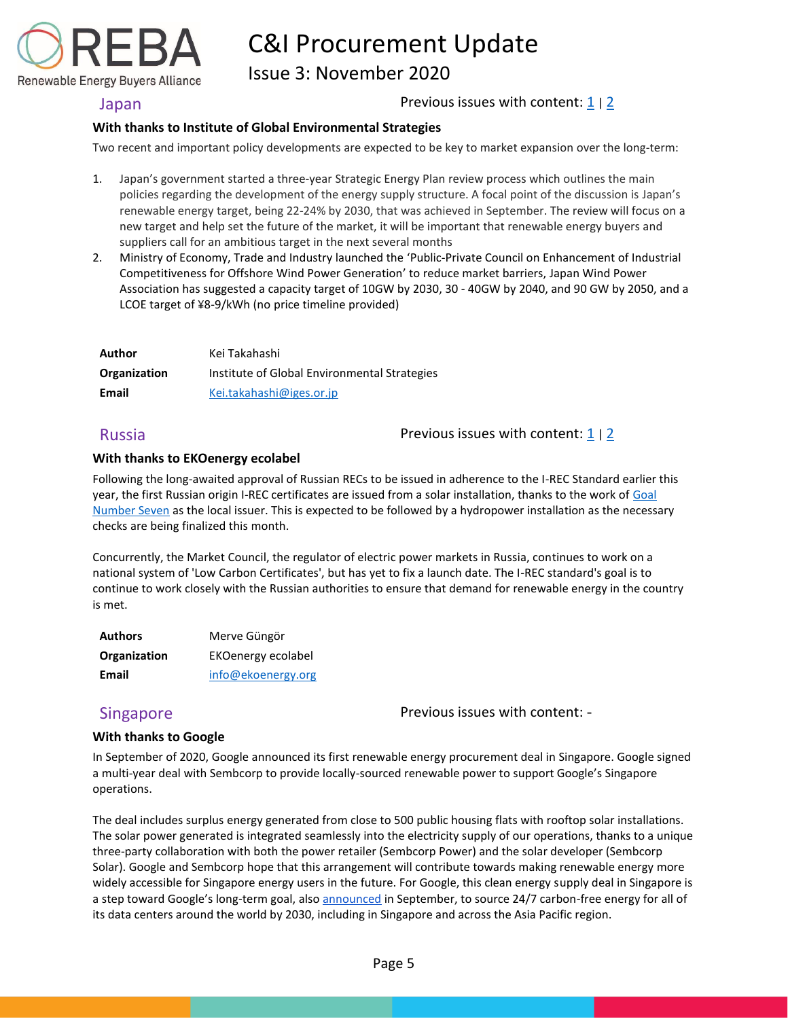

Issue 3: November 2020

### <span id="page-5-0"></span>Japan **Previous issues with content:**  $\frac{1}{2}$  $\frac{1}{2}$  $\frac{1}{2}$  | 2

### **With thanks to Institute of Global Environmental Strategies**

Two recent and important policy developments are expected to be key to market expansion over the long-term:

- 1. Japan's government started a three-year Strategic Energy Plan review process which outlines the main policies regarding the development of the energy supply structure. A focal point of the discussion is Japan's renewable energy target, being 22-24% by 2030, that was achieved in September. The review will focus on a new target and help set the future of the market, it will be important that renewable energy buyers and suppliers call for an ambitious target in the next several months
- 2. Ministry of Economy, Trade and Industry launched the 'Public-Private Council on Enhancement of Industrial Competitiveness for Offshore Wind Power Generation' to reduce market barriers, Japan Wind Power Association has suggested a capacity target of 10GW by 2030, 30 - 40GW by 2040, and 90 GW by 2050, and a LCOE target of ¥8-9/kWh (no price timeline provided)

| Author       | Kei Takahashi                                |
|--------------|----------------------------------------------|
| Organization | Institute of Global Environmental Strategies |
| Email        | Kei.takahashi@iges.or.jp                     |

<span id="page-5-1"></span>Russia **Previous issues with content:** [1](https://reba2019dev.wpengine.com/wp-content/uploads/2020/02/REBA-CI-Procurement-Update_Feb-2020-1.pdf) | [2](https://rebuyers.org/wp-content/uploads/2020/07/C_I_Procurement_Update_Issue_2.pdf)

#### **With thanks to EKOenergy ecolabel**

Following the long-awaited approval of Russian RECs to be issued in adherence to the I-REC Standard earlier this year, the first Russian origin I-REC certificates are issued from a solar installation, thanks to the work of Goal [Number Seven](https://www.gns.center/home) as the local issuer. This is expected to be followed by a hydropower installation as the necessary checks are being finalized this month.

Concurrently, the Market Council, the regulator of electric power markets in Russia, continues to work on a national system of 'Low Carbon Certificates', but has yet to fix a launch date. The I-REC standard's goal is to continue to work closely with the Russian authorities to ensure that demand for renewable energy in the country is met.

| <b>Authors</b> | Merve Güngör       |
|----------------|--------------------|
| Organization   | EKOenergy ecolabel |
| Email          | info@ekoenergy.org |

<span id="page-5-2"></span>Singapore **Previous issues with content:** -

### **With thanks to Google**

In September of 2020, Google announced its first renewable energy procurement deal in Singapore. Google signed a multi-year deal with Sembcorp to provide locally-sourced renewable power to support Google's Singapore operations.

The deal includes surplus energy generated from close to 500 public housing flats with rooftop solar installations. The solar power generated is integrated seamlessly into the electricity supply of our operations, thanks to a unique three-party collaboration with both the power retailer (Sembcorp Power) and the solar developer (Sembcorp Solar). Google and Sembcorp hope that this arrangement will contribute towards making renewable energy more widely accessible for Singapore energy users in the future. For Google, this clean energy supply deal in Singapore is a step toward Google's long-term goal, also [announced](https://blog.google/outreach-initiatives/sustainability/our-third-decade-climate-action-realizing-carbon-free-future) in September, to source 24/7 carbon-free energy for all of its data centers around the world by 2030, including in Singapore and across the Asia Pacific region.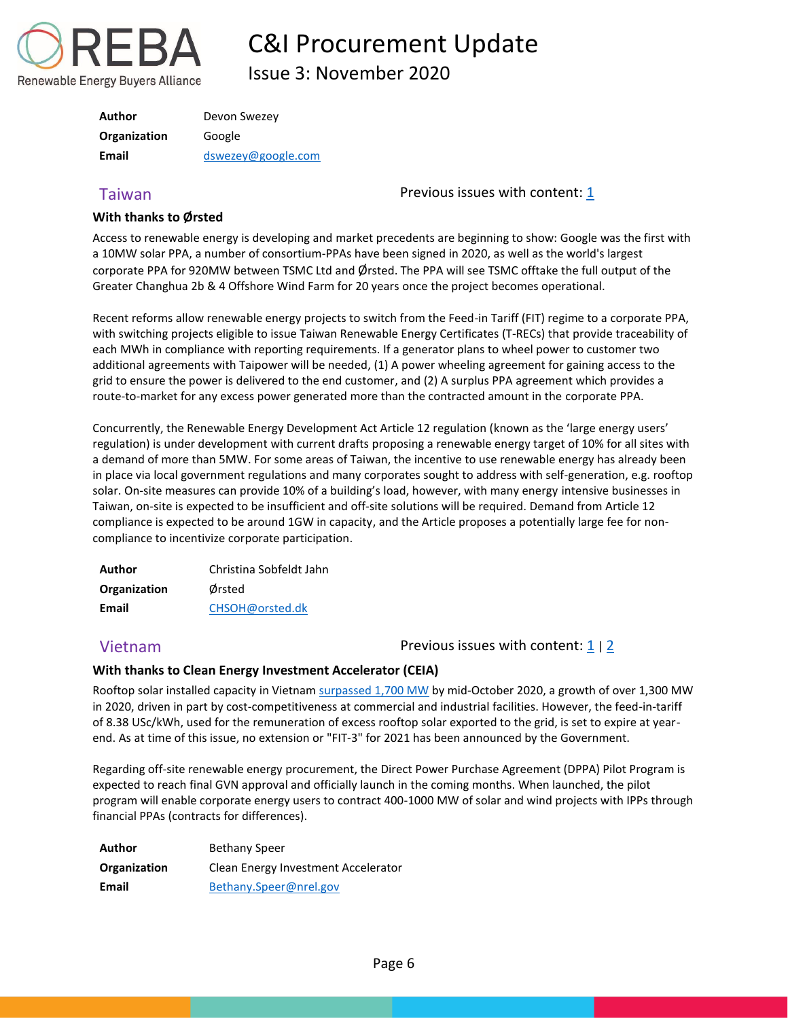

Issue 3: November 2020

| <b>Author</b> | Devon Swezey       |
|---------------|--------------------|
| Organization  | Google             |
| Email         | dswezey@google.com |

### **With thanks to Ørsted**

<span id="page-6-0"></span>Taiwan Previous issues with content[: 1](https://reba2019dev.wpengine.com/wp-content/uploads/2020/02/REBA-CI-Procurement-Update_Feb-2020-1.pdf)

Access to renewable energy is developing and market precedents are beginning to show: Google was the first with a 10MW solar PPA, a number of consortium-PPAs have been signed in 2020, as well as the world's largest corporate PPA for 920MW between TSMC Ltd and Ørsted. The PPA will see TSMC offtake the full output of the Greater Changhua 2b & 4 Offshore Wind Farm for 20 years once the project becomes operational.

Recent reforms allow renewable energy projects to switch from the Feed-in Tariff (FIT) regime to a corporate PPA, with switching projects eligible to issue Taiwan Renewable Energy Certificates (T-RECs) that provide traceability of each MWh in compliance with reporting requirements. If a generator plans to wheel power to customer two additional agreements with Taipower will be needed, (1) A power wheeling agreement for gaining access to the grid to ensure the power is delivered to the end customer, and (2) A surplus PPA agreement which provides a route-to-market for any excess power generated more than the contracted amount in the corporate PPA.

Concurrently, the Renewable Energy Development Act Article 12 regulation (known as the 'large energy users' regulation) is under development with current drafts proposing a renewable energy target of 10% for all sites with a demand of more than 5MW. For some areas of Taiwan, the incentive to use renewable energy has already been in place via local government regulations and many corporates sought to address with self-generation, e.g. rooftop solar. On-site measures can provide 10% of a building's load, however, with many energy intensive businesses in Taiwan, on-site is expected to be insufficient and off-site solutions will be required. Demand from Article 12 compliance is expected to be around 1GW in capacity, and the Article proposes a potentially large fee for noncompliance to incentivize corporate participation.

| Author       | Christina Sobfeldt Jahn |
|--------------|-------------------------|
| Organization | Ørsted                  |
| Email        | CHSOH@orsted.dk         |

<span id="page-6-1"></span>Vietnam **Previous issues with content:** [1](https://reba2019dev.wpengine.com/wp-content/uploads/2020/02/REBA-CI-Procurement-Update_Feb-2020-1.pdf) | [2](https://rebuyers.org/wp-content/uploads/2020/07/C_I_Procurement_Update_Issue_2.pdf)

### **With thanks to Clean Energy Investment Accelerator (CEIA)**

Rooftop solar installed capacity in Vietnam [surpassed 1,700 MW](https://nam10.safelinks.protection.outlook.com/?url=https%3A%2F%2Fsolar.evn.com.vn%2F%23%2F&data=04%7C01%7Ckkerr%40rebuyers.org%7Cb4f3538b1b9045ec011208d87c343163%7C85e98bb78ec64977a794ffb1ede0f3df%7C1%7C1%7C637395910909534153%7CUnknown%7CTWFpbGZsb3d8eyJWIjoiMC4wLjAwMDAiLCJQIjoiV2luMzIiLCJBTiI6Ik1haWwiLCJXVCI6Mn0%3D%7C1000&sdata=o996ywYRMBfV9xwGuncRafiVcXSFQInRTgNYaiPUeOw%3D&reserved=0) by mid-October 2020, a growth of over 1,300 MW in 2020, driven in part by cost-competitiveness at commercial and industrial facilities. However, the feed-in-tariff of 8.38 USc/kWh, used for the remuneration of excess rooftop solar exported to the grid, is set to expire at yearend. As at time of this issue, no extension or "FIT-3" for 2021 has been announced by the Government.

Regarding off-site renewable energy procurement, the Direct Power Purchase Agreement (DPPA) Pilot Program is expected to reach final GVN approval and officially launch in the coming months. When launched, the pilot program will enable corporate energy users to contract 400-1000 MW of solar and wind projects with IPPs through financial PPAs (contracts for differences).

<span id="page-6-2"></span>

| Author       | <b>Bethany Speer</b>                |
|--------------|-------------------------------------|
| Organization | Clean Energy Investment Accelerator |
| Email        | Bethany.Speer@nrel.gov              |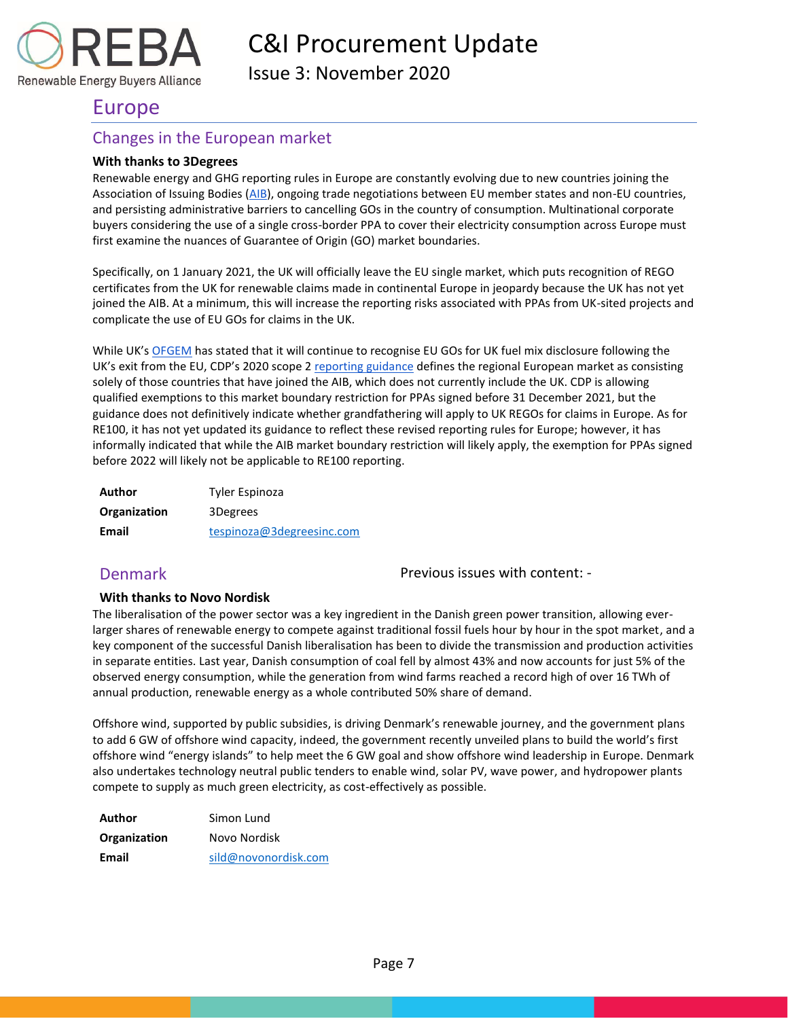

Issue 3: November 2020

## Europe

Renewable Energy Buyers Alliance

### Changes in the European market

### **With thanks to 3Degrees**

Renewable energy and GHG reporting rules in Europe are constantly evolving due to new countries joining the Association of Issuing Bodies [\(AIB\)](https://www.aib-net.org/), ongoing trade negotiations between EU member states and non-EU countries, and persisting administrative barriers to cancelling GOs in the country of consumption. Multinational corporate buyers considering the use of a single cross-border PPA to cover their electricity consumption across Europe must first examine the nuances of Guarantee of Origin (GO) market boundaries.

Specifically, on 1 January 2021, the UK will officially leave the EU single market, which puts recognition of REGO certificates from the UK for renewable claims made in continental Europe in jeopardy because the UK has not yet joined the AIB. At a minimum, this will increase the reporting risks associated with PPAs from UK-sited projects and complicate the use of EU GOs for claims in the UK.

While UK's [OFGEM](https://www.ofgem.gov.uk/environmental-programmes/rego/about-rego-scheme) has stated that it will continue to recognise EU GOs for UK fuel mix disclosure following the UK's exit from the EU, CDP's 2020 scope 2 [reporting guidance](https://b8f65cb373b1b7b15feb-c70d8ead6ced550b4d987d7c03fcdd1d.ssl.cf3.rackcdn.com/cms/guidance_docs/pdfs/000/000/415/original/CDP-Accounting-of-Scope-2-Emissions.pdf?1479752807) defines the regional European market as consisting solely of those countries that have joined the AIB, which does not currently include the UK. CDP is allowing qualified exemptions to this market boundary restriction for PPAs signed before 31 December 2021, but the guidance does not definitively indicate whether grandfathering will apply to UK REGOs for claims in Europe. As for RE100, it has not yet updated its guidance to reflect these revised reporting rules for Europe; however, it has informally indicated that while the AIB market boundary restriction will likely apply, the exemption for PPAs signed before 2022 will likely not be applicable to RE100 reporting.

| Author       | Tyler Espinoza            |
|--------------|---------------------------|
| Organization | 3Degrees                  |
| Email        | tespinoza@3degreesinc.com |

### <span id="page-7-0"></span>Denmark

Previous issues with content: -

### **With thanks to Novo Nordisk**

The liberalisation of the power sector was a key ingredient in the Danish green power transition, allowing everlarger shares of renewable energy to compete against traditional fossil fuels hour by hour in the spot market, and a key component of the successful Danish liberalisation has been to divide the transmission and production activities in separate entities. Last year, Danish consumption of coal fell by almost 43% and now accounts for just 5% of the observed energy consumption, while the generation from wind farms reached a record high of over 16 TWh of annual production, renewable energy as a whole contributed 50% share of demand.

Offshore wind, supported by public subsidies, is driving Denmark's renewable journey, and the government plans to add 6 GW of offshore wind capacity, indeed, the government recently unveiled plans to build the world's first offshore wind "energy islands" to help meet the 6 GW goal and show offshore wind leadership in Europe. Denmark also undertakes technology neutral public tenders to enable wind, solar PV, wave power, and hydropower plants compete to supply as much green electricity, as cost-effectively as possible.

| Author              | Simon Lund           |
|---------------------|----------------------|
| <b>Organization</b> | Novo Nordisk         |
| Email               | sild@novonordisk.com |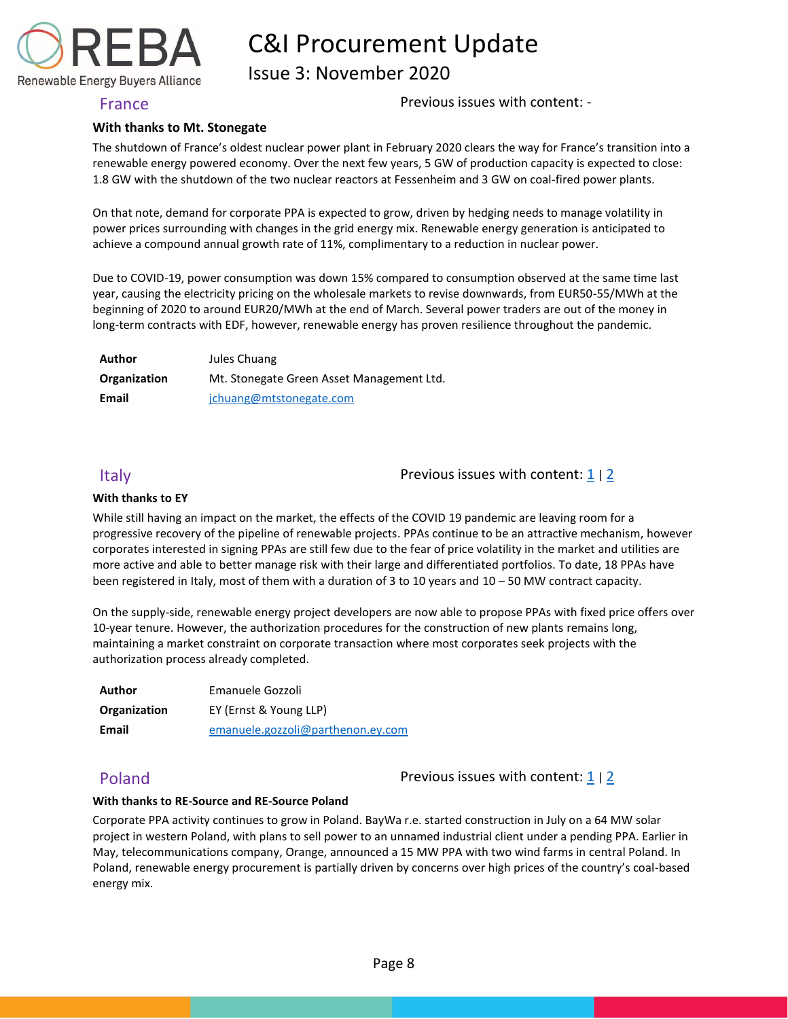Issue 3: November 2020

Renewable Energy Buyers Alliance

<span id="page-8-0"></span>France **Previous issues with content:** -

#### **With thanks to Mt. Stonegate**

The shutdown of France's oldest nuclear power plant in February 2020 clears the way for France's transition into a renewable energy powered economy. Over the next few years, 5 GW of production capacity is expected to close: 1.8 GW with the shutdown of the two nuclear reactors at Fessenheim and 3 GW on coal-fired power plants.

On that note, demand for corporate PPA is expected to grow, driven by hedging needs to manage volatility in power prices surrounding with changes in the grid energy mix. Renewable energy generation is anticipated to achieve a compound annual growth rate of 11%, complimentary to a reduction in nuclear power.

Due to COVID-19, power consumption was down 15% compared to consumption observed at the same time last year, causing the electricity pricing on the wholesale markets to revise downwards, from EUR50-55/MWh at the beginning of 2020 to around EUR20/MWh at the end of March. Several power traders are out of the money in long-term contracts with EDF, however, renewable energy has proven resilience throughout the pandemic.

| Author       | Jules Chuang                              |
|--------------|-------------------------------------------|
| Organization | Mt. Stonegate Green Asset Management Ltd. |
| Email        | jchuang@mtstonegate.com                   |

<span id="page-8-1"></span>Italy  $\Box$   $\Box$  Previous issues with content:  $\Box$  |  $\Box$ 

#### **With thanks to EY**

While still having an impact on the market, the effects of the COVID 19 pandemic are leaving room for a progressive recovery of the pipeline of renewable projects. PPAs continue to be an attractive mechanism, however corporates interested in signing PPAs are still few due to the fear of price volatility in the market and utilities are more active and able to better manage risk with their large and differentiated portfolios. To date, 18 PPAs have been registered in Italy, most of them with a duration of 3 to 10 years and 10 – 50 MW contract capacity.

On the supply-side, renewable energy project developers are now able to propose PPAs with fixed price offers over 10-year tenure. However, the authorization procedures for the construction of new plants remains long, maintaining a market constraint on corporate transaction where most corporates seek projects with the authorization process already completed.

| Author       | Emanuele Gozzoli                  |  |
|--------------|-----------------------------------|--|
| Organization | EY (Ernst & Young LLP)            |  |
| Email        | emanuele.gozzoli@parthenon.ey.com |  |

<span id="page-8-2"></span>Poland Poland Previous issues with content:  $\frac{1}{2}$  $\frac{1}{2}$  $\frac{1}{2}$  | 2

#### **With thanks to RE-Source and RE-Source Poland**

Corporate PPA activity continues to grow in Poland. BayWa r.e. started construction in July on a 64 MW solar project in western Poland, with plans to sell power to an unnamed industrial client under a pending PPA. Earlier in May, telecommunications company, Orange, announced a 15 MW PPA with two wind farms in central Poland. In Poland, renewable energy procurement is partially driven by concerns over high prices of the country's coal-based energy mix.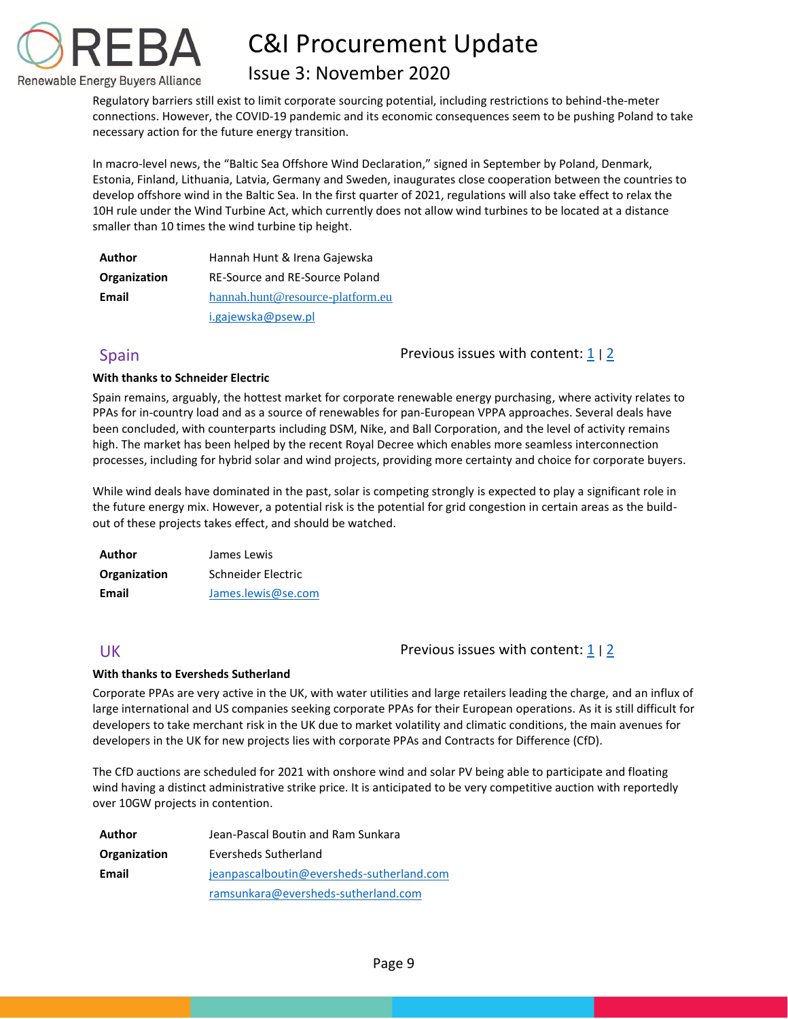

## Issue 3: November 2020

Regulatory barriers still exist to limit corporate sourcing potential, including restrictions to behind-the-meter connections. However, the COVID-19 pandemic and its economic consequences seem to be pushing Poland to take necessary action for the future energy transition.

In macro-level news, the "Baltic Sea Offshore Wind Declaration," signed in September by Poland, Denmark, Estonia, Finland, Lithuania, Latvia, Germany and Sweden, inaugurates close cooperation between the countries to develop offshore wind in the Baltic Sea. In the first quarter of 2021, regulations will also take effect to relax the 10H rule under the Wind Turbine Act, which currently does not allow wind turbines to be located at a distance smaller than 10 times the wind turbine tip height.

| Author       | Hannah Hunt & Irena Gajewska     |  |
|--------------|----------------------------------|--|
| Organization | RE-Source and RE-Source Poland   |  |
| Email        | hannah.hunt@resource-platform.eu |  |
|              | i.gajewska@psew.pl               |  |

<span id="page-9-0"></span>Spain **Previous** issues with content:  $\frac{1}{2}$  $\frac{1}{2}$  $\frac{1}{2}$  | 2

### **With thanks to Schneider Electric**

Spain remains, arguably, the hottest market for corporate renewable energy purchasing, where activity relates to PPAs for in-country load and as a source of renewables for pan-European VPPA approaches. Several deals have been concluded, with counterparts including DSM, Nike, and Ball Corporation, and the level of activity remains high. The market has been helped by the recent Royal Decree which enables more seamless interconnection processes, including for hybrid solar and wind projects, providing more certainty and choice for corporate buyers.

While wind deals have dominated in the past, solar is competing strongly is expected to play a significant role in the future energy mix. However, a potential risk is the potential for grid congestion in certain areas as the buildout of these projects takes effect, and should be watched.

| Author       | James Lewis        |  |
|--------------|--------------------|--|
| Organization | Schneider Electric |  |
| Email        | James.lewis@se.com |  |

### <span id="page-9-1"></span>UK Previous issues with content: [1](https://reba2019dev.wpengine.com/wp-content/uploads/2020/02/REBA-CI-Procurement-Update_Feb-2020-1.pdf) <sup>|</sup>[2](https://rebuyers.org/wp-content/uploads/2020/07/C_I_Procurement_Update_Issue_2.pdf)

#### **With thanks to Eversheds Sutherland**

Corporate PPAs are very active in the UK, with water utilities and large retailers leading the charge, and an influx of large international and US companies seeking corporate PPAs for their European operations. As it is still difficult for developers to take merchant risk in the UK due to market volatility and climatic conditions, the main avenues for developers in the UK for new projects lies with corporate PPAs and Contracts for Difference (CfD).

The CfD auctions are scheduled for 2021 with onshore wind and solar PV being able to participate and floating wind having a distinct administrative strike price. It is anticipated to be very competitive auction with reportedly over 10GW projects in contention.

| Author       | Jean-Pascal Boutin and Ram Sunkara        |  |
|--------------|-------------------------------------------|--|
| Organization | Eversheds Sutherland                      |  |
| Email        | jeanpascalboutin@eversheds-sutherland.com |  |
|              | ramsunkara@eversheds-sutherland.com       |  |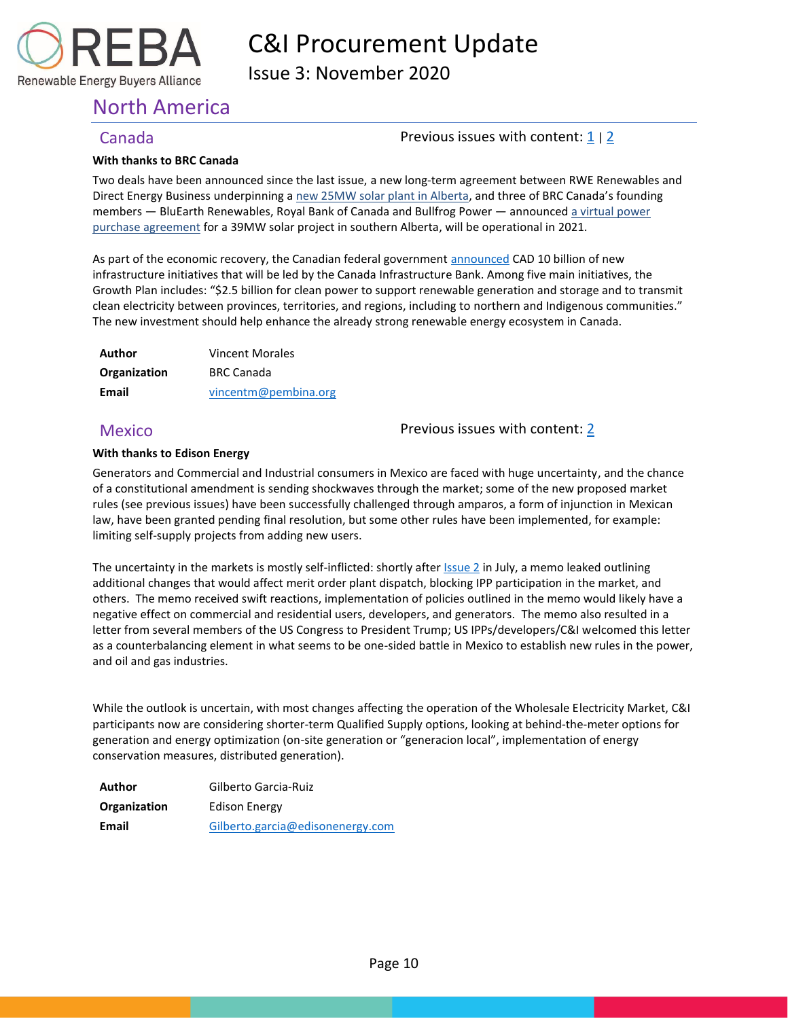

Issue 3: November 2020

## <span id="page-10-0"></span>North America

### <span id="page-10-1"></span>Canada **Previous issues with content:**  $\frac{1}{2}$  $\frac{1}{2}$  $\frac{1}{2}$  | 2

#### **With thanks to BRC Canada**

Two deals have been announced since the last issue, a new long-term agreement between RWE Renewables and Direct Energy Business underpinning a new 25MW [solar plant in Alberta,](https://nam10.safelinks.protection.outlook.com/?url=https%3A%2F%2Fwww.centrica.com%2Fmedia-centre%2Fnews%2F2020%2Fdirect-energy-business-signs-long-term-agreement-on-solar-project-in-alberta%2F&data=04%7C01%7Ckkerr%40rebuyers.org%7C7d965e1726fd4c3de7c208d8754f7a7d%7C85e98bb78ec64977a794ffb1ede0f3df%7C1%7C0%7C637388331511323401%7CUnknown%7CTWFpbGZsb3d8eyJWIjoiMC4wLjAwMDAiLCJQIjoiV2luMzIiLCJBTiI6Ik1haWwiLCJXVCI6Mn0%3D%7C1000&sdata=ej11%2BKzIB%2B87FT6Onr4Cwq681wAEufAu5TVwgXlfBSY%3D&reserved=0) and three of BRC Canada's founding members — BluEarth Renewables, Royal Bank of Canada and Bullfrog Power — announced a virtual power [purchase agreement](https://nam10.safelinks.protection.outlook.com/?url=https%3A%2F%2Fwww.pembina.org%2Fmedia-release%2Fmajor-solar-project-good-news-renewable-energy-alberta&data=04%7C01%7Ckkerr%40rebuyers.org%7C7d965e1726fd4c3de7c208d8754f7a7d%7C85e98bb78ec64977a794ffb1ede0f3df%7C1%7C0%7C637388331511313406%7CUnknown%7CTWFpbGZsb3d8eyJWIjoiMC4wLjAwMDAiLCJQIjoiV2luMzIiLCJBTiI6Ik1haWwiLCJXVCI6Mn0%3D%7C1000&sdata=iFV%2BiKUCljhS8mgQbOTY13rIZ8mdUwLUU24iVPBzN24%3D&reserved=0) for a 39MW solar project in southern Alberta, will be operational in 2021.

As part of the economic recovery, the Canadian federal government [announced](https://nam10.safelinks.protection.outlook.com/?url=https%3A%2F%2Fcib-bic.ca%2Fen%2Fthe-canada-infrastructure-bank-announces-a-plan-to-create-jobs-and-grow-the-economy%2F&data=04%7C01%7Ckkerr%40rebuyers.org%7C7d965e1726fd4c3de7c208d8754f7a7d%7C85e98bb78ec64977a794ffb1ede0f3df%7C1%7C0%7C637388331511333390%7CUnknown%7CTWFpbGZsb3d8eyJWIjoiMC4wLjAwMDAiLCJQIjoiV2luMzIiLCJBTiI6Ik1haWwiLCJXVCI6Mn0%3D%7C1000&sdata=D4etkYNjAPeJFKW9MY83ubSWsrBdOeQkmZWaLYF4L3E%3D&reserved=0) CAD 10 billion of new infrastructure initiatives that will be led by the Canada Infrastructure Bank. Among five main initiatives, the Growth Plan includes: "\$2.5 billion for clean power to support renewable generation and storage and to transmit clean electricity between provinces, territories, and regions, including to northern and Indigenous communities." The new investment should help enhance the already strong renewable energy ecosystem in Canada.

| Author       | <b>Vincent Morales</b> |  |
|--------------|------------------------|--|
| Organization | <b>BRC Canada</b>      |  |
| Email        | vincentm@pembina.org   |  |

<span id="page-10-2"></span>Mexico **Previous issues with content: [2](https://rebuyers.org/wp-content/uploads/2020/07/C_I_Procurement_Update_Issue_2.pdf)** 

### **With thanks to Edison Energy**

Generators and Commercial and Industrial consumers in Mexico are faced with huge uncertainty, and the chance of a constitutional amendment is sending shockwaves through the market; some of the new proposed market rules (see previous issues) have been successfully challenged through amparos, a form of injunction in Mexican law, have been granted pending final resolution, but some other rules have been implemented, for example: limiting self-supply projects from adding new users.

The uncertainty in the markets is mostly self-inflicted: shortly after *Issue 2* in July, a memo leaked outlining additional changes that would affect merit order plant dispatch, blocking IPP participation in the market, and others. The memo received swift reactions, implementation of policies outlined in the memo would likely have a negative effect on commercial and residential users, developers, and generators. The memo also resulted in a letter from several members of the US Congress to President Trump; US IPPs/developers/C&I welcomed this letter as a counterbalancing element in what seems to be one-sided battle in Mexico to establish new rules in the power, and oil and gas industries.

While the outlook is uncertain, with most changes affecting the operation of the Wholesale Electricity Market, C&I participants now are considering shorter-term Qualified Supply options, looking at behind-the-meter options for generation and energy optimization (on-site generation or "generacion local", implementation of energy conservation measures, distributed generation).

**Author** Gilberto Garcia-Ruiz **Organization** Edison Energy **Email** [Gilberto.garcia@edisonenergy.com](mailto:Gilberto.garcia@edisonenergy.com)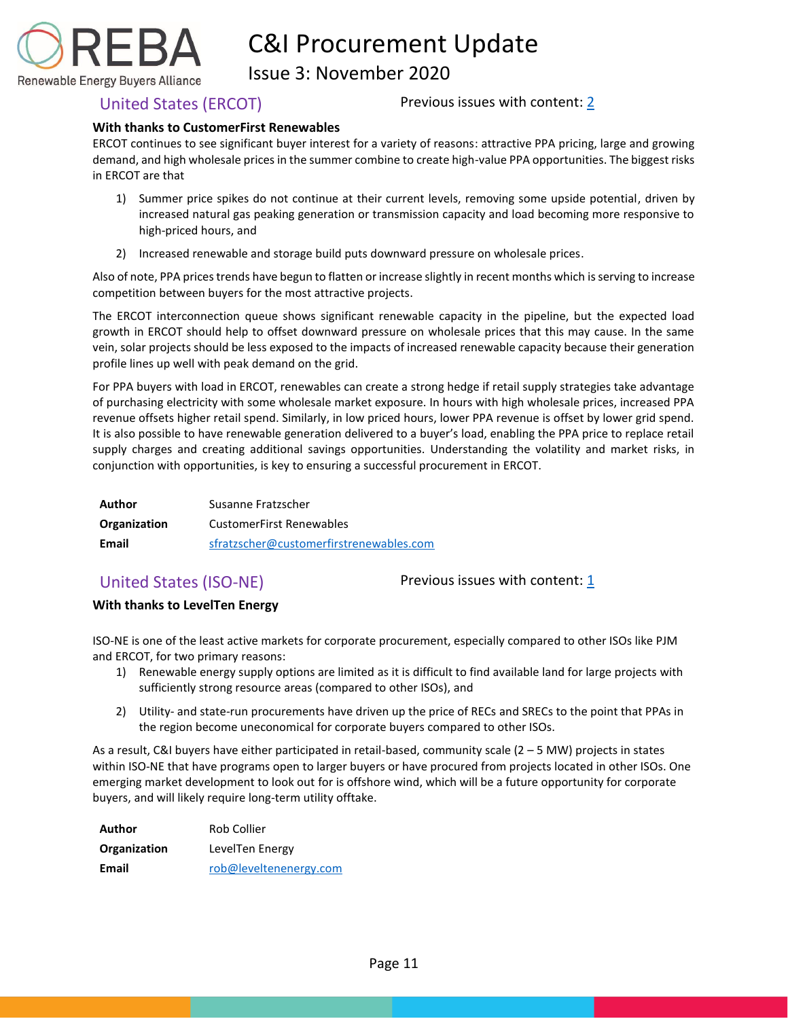

Issue 3: November 2020

<span id="page-11-0"></span>United States (ERCOT) Previous issues with content: [2](https://rebuyers.org/wp-content/uploads/2020/07/C_I_Procurement_Update_Issue_2.pdf)

### **With thanks to CustomerFirst Renewables**

ERCOT continues to see significant buyer interest for a variety of reasons: attractive PPA pricing, large and growing demand, and high wholesale prices in the summer combine to create high-value PPA opportunities. The biggest risks in ERCOT are that

- 1) Summer price spikes do not continue at their current levels, removing some upside potential, driven by increased natural gas peaking generation or transmission capacity and load becoming more responsive to high-priced hours, and
- 2) Increased renewable and storage build puts downward pressure on wholesale prices.

Also of note, PPA prices trends have begun to flatten or increase slightly in recent months which is serving to increase competition between buyers for the most attractive projects.

The ERCOT interconnection queue shows significant renewable capacity in the pipeline, but the expected load growth in ERCOT should help to offset downward pressure on wholesale prices that this may cause. In the same vein, solar projects should be less exposed to the impacts of increased renewable capacity because their generation profile lines up well with peak demand on the grid.

For PPA buyers with load in ERCOT, renewables can create a strong hedge if retail supply strategies take advantage of purchasing electricity with some wholesale market exposure. In hours with high wholesale prices, increased PPA revenue offsets higher retail spend. Similarly, in low priced hours, lower PPA revenue is offset by lower grid spend. It is also possible to have renewable generation delivered to a buyer's load, enabling the PPA price to replace retail supply charges and creating additional savings opportunities. Understanding the volatility and market risks, in conjunction with opportunities, is key to ensuring a successful procurement in ERCOT.

| Author       | Susanne Fratzscher                      |  |
|--------------|-----------------------------------------|--|
| Organization | <b>CustomerFirst Renewables</b>         |  |
| Email        | sfratzscher@customerfirstrenewables.com |  |

<span id="page-11-1"></span>United States (ISO-NE) Previous issues with content: [1](https://reba2019dev.wpengine.com/wp-content/uploads/2020/02/REBA-CI-Procurement-Update_Feb-2020-1.pdf)

### **With thanks to LevelTen Energy**

ISO-NE is one of the least active markets for corporate procurement, especially compared to other ISOs like PJM and ERCOT, for two primary reasons:

- 1) Renewable energy supply options are limited as it is difficult to find available land for large projects with sufficiently strong resource areas (compared to other ISOs), and
- 2) Utility- and state-run procurements have driven up the price of RECs and SRECs to the point that PPAs in the region become uneconomical for corporate buyers compared to other ISOs.

As a result, C&I buyers have either participated in retail-based, community scale (2 – 5 MW) projects in states within ISO-NE that have programs open to larger buyers or have procured from projects located in other ISOs. One emerging market development to look out for is offshore wind, which will be a future opportunity for corporate buyers, and will likely require long-term utility offtake.

| Author       | Rob Collier            |  |
|--------------|------------------------|--|
| Organization | LevelTen Energy        |  |
| Email        | rob@leveltenenergy.com |  |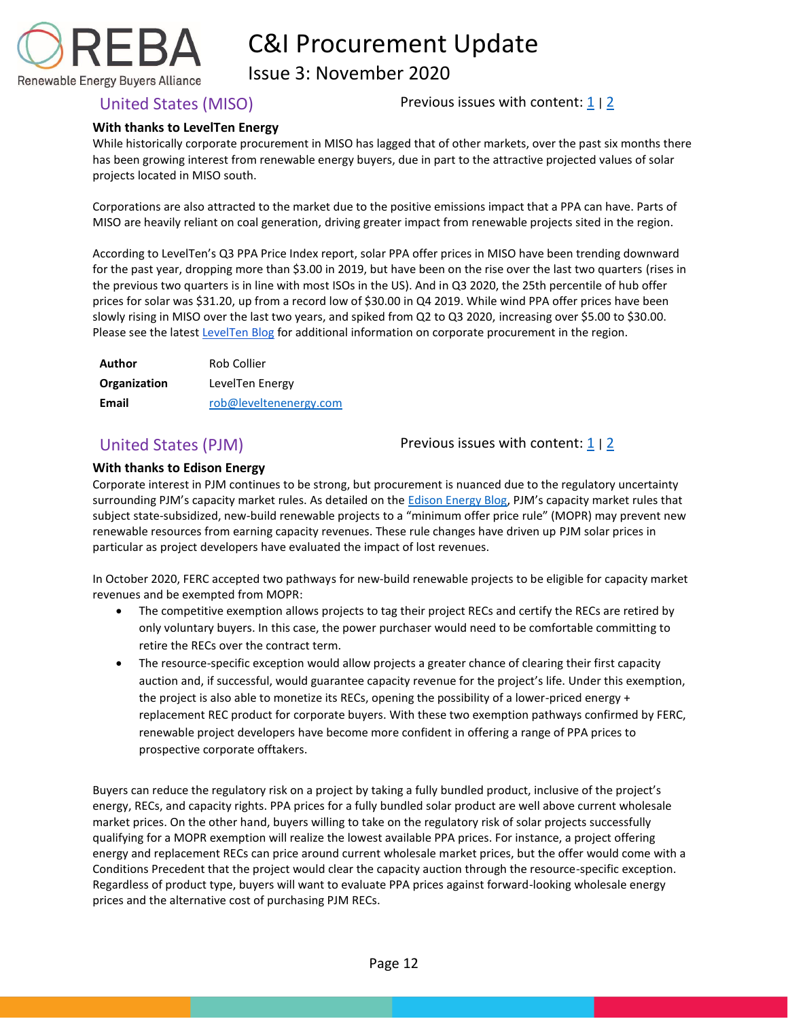

Issue 3: November 2020

<span id="page-12-0"></span>United States (MISO) Previous issues with content:  $\frac{1}{2}$  $\frac{1}{2}$  $\frac{1}{2}$ 

### **With thanks to LevelTen Energy**

While historically corporate procurement in MISO has lagged that of other markets, over the past six months there has been growing interest from renewable energy buyers, due in part to the attractive projected values of solar projects located in MISO south.

Corporations are also attracted to the market due to the positive emissions impact that a PPA can have. Parts of MISO are heavily reliant on coal generation, driving greater impact from renewable projects sited in the region.

According to LevelTen's Q3 PPA Price Index report, solar PPA offer prices in MISO have been trending downward for the past year, dropping more than \$3.00 in 2019, but have been on the rise over the last two quarters (rises in the previous two quarters is in line with most ISOs in the US). And in Q3 2020, the 25th percentile of hub offer prices for solar was \$31.20, up from a record low of \$30.00 in Q4 2019. While wind PPA offer prices have been slowly rising in MISO over the last two years, and spiked from Q2 to Q3 2020, increasing over \$5.00 to \$30.00. Please see the latest [LevelTen Blog](https://leveltenenergy.com/blog/renewable-energy-markets/miso-renewable-energy/) for additional information on corporate procurement in the region.

| Author       | Rob Collier            |  |
|--------------|------------------------|--|
| Organization | LevelTen Energy        |  |
| Email        | rob@leveltenenergy.com |  |

<span id="page-12-1"></span>United States (PJM) Previous issues with content:  $\frac{1}{2}$  $\frac{1}{2}$  $\frac{1}{2}$ 

### **With thanks to Edison Energy**

Corporate interest in PJM continues to be strong, but procurement is nuanced due to the regulatory uncertainty surrounding PJM's capacity market rules. As detailed on the [Edison Energy Blog](https://www.edisonenergy.com/blog/pjm-mopr-ruling-compliance-filing-recent-ferc-order-bode-well-for-buyers/), PJM's capacity market rules that subject state-subsidized, new-build renewable projects to a "minimum offer price rule" (MOPR) may prevent new renewable resources from earning capacity revenues. These rule changes have driven up PJM solar prices in particular as project developers have evaluated the impact of lost revenues.

In October 2020, FERC accepted two pathways for new-build renewable projects to be eligible for capacity market revenues and be exempted from MOPR:

- The competitive exemption allows projects to tag their project RECs and certify the RECs are retired by only voluntary buyers. In this case, the power purchaser would need to be comfortable committing to retire the RECs over the contract term.
- The resource-specific exception would allow projects a greater chance of clearing their first capacity auction and, if successful, would guarantee capacity revenue for the project's life. Under this exemption, the project is also able to monetize its RECs, opening the possibility of a lower-priced energy + replacement REC product for corporate buyers. With these two exemption pathways confirmed by FERC, renewable project developers have become more confident in offering a range of PPA prices to prospective corporate offtakers.

Buyers can reduce the regulatory risk on a project by taking a fully bundled product, inclusive of the project's energy, RECs, and capacity rights. PPA prices for a fully bundled solar product are well above current wholesale market prices. On the other hand, buyers willing to take on the regulatory risk of solar projects successfully qualifying for a MOPR exemption will realize the lowest available PPA prices. For instance, a project offering energy and replacement RECs can price around current wholesale market prices, but the offer would come with a Conditions Precedent that the project would clear the capacity auction through the resource-specific exception. Regardless of product type, buyers will want to evaluate PPA prices against forward-looking wholesale energy prices and the alternative cost of purchasing PJM RECs.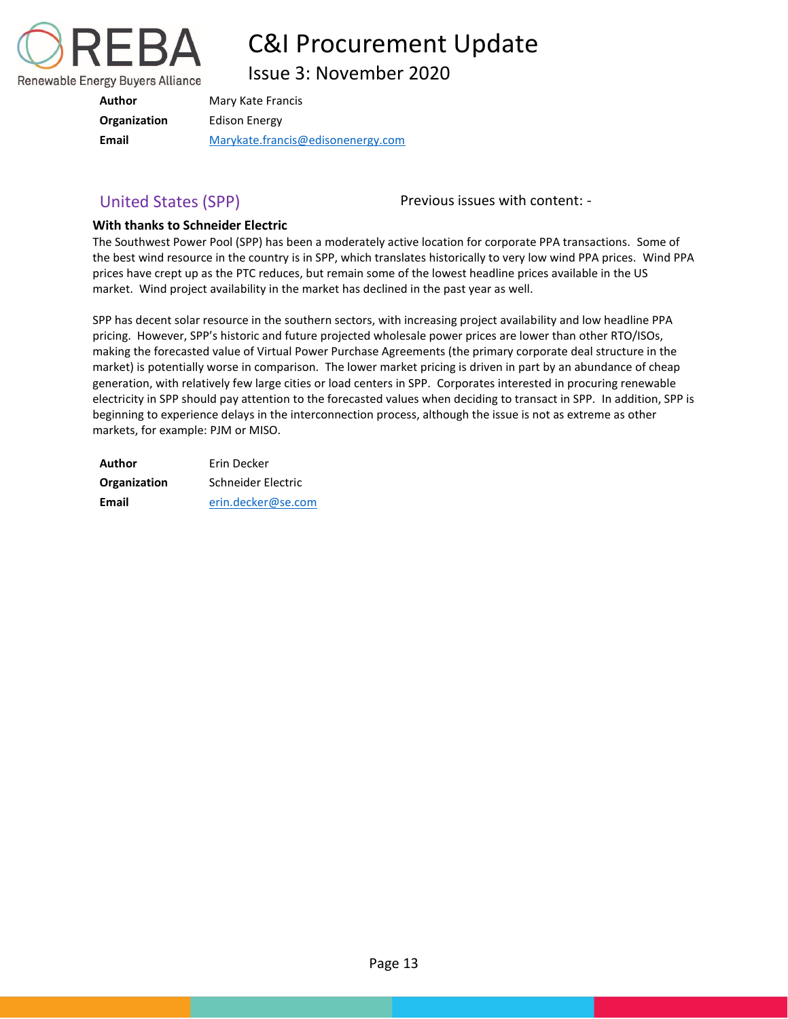

Issue 3: November 2020

| Author       | Mary Kate Francis                 |
|--------------|-----------------------------------|
| Organization | Edison Energy                     |
| Email        | Marykate.francis@edisonenergy.com |

<span id="page-13-0"></span>United States (SPP) The Previous issues with content: -

### **With thanks to Schneider Electric**

The Southwest Power Pool (SPP) has been a moderately active location for corporate PPA transactions. Some of the best wind resource in the country is in SPP, which translates historically to very low wind PPA prices. Wind PPA prices have crept up as the PTC reduces, but remain some of the lowest headline prices available in the US market. Wind project availability in the market has declined in the past year as well.

SPP has decent solar resource in the southern sectors, with increasing project availability and low headline PPA pricing. However, SPP's historic and future projected wholesale power prices are lower than other RTO/ISOs, making the forecasted value of Virtual Power Purchase Agreements (the primary corporate deal structure in the market) is potentially worse in comparison. The lower market pricing is driven in part by an abundance of cheap generation, with relatively few large cities or load centers in SPP. Corporates interested in procuring renewable electricity in SPP should pay attention to the forecasted values when deciding to transact in SPP. In addition, SPP is beginning to experience delays in the interconnection process, although the issue is not as extreme as other markets, for example: PJM or MISO.

| Author       | Erin Decker        |  |
|--------------|--------------------|--|
| Organization | Schneider Electric |  |
| Email        | erin.decker@se.com |  |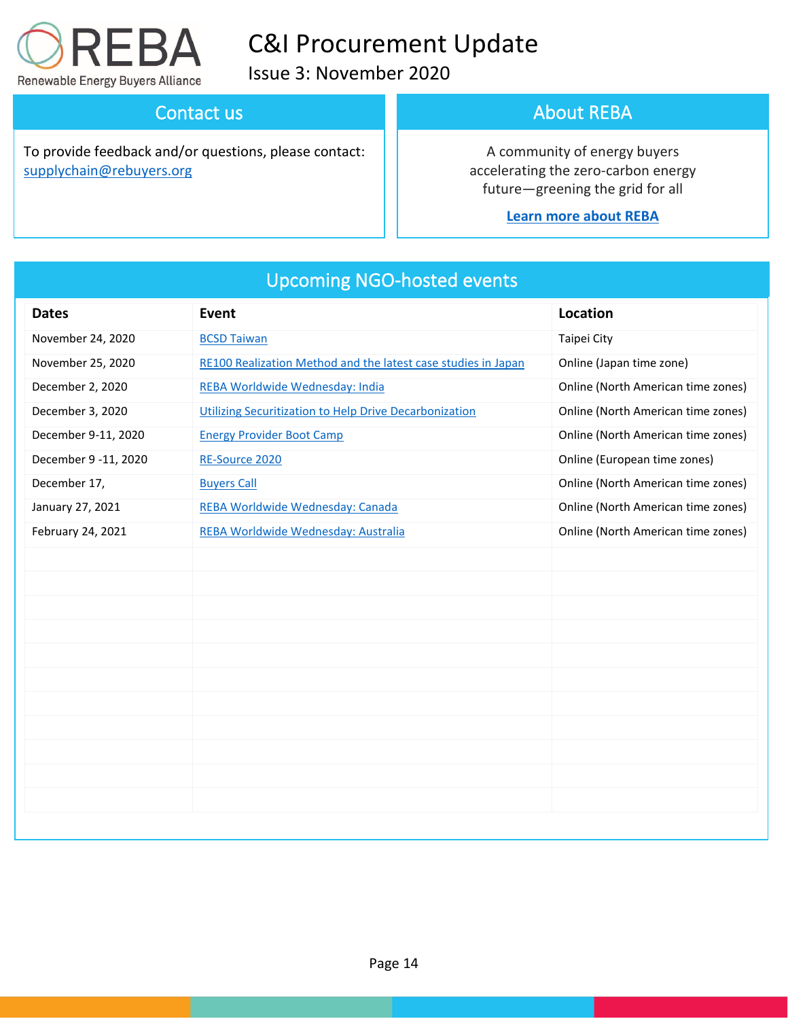

Issue 3: November 2020

## Contact us

To provide feedback and/or questions, please contact: [supplychain@rebuyers.org](mailto:supplychain@rebuyers.org)

## About REBA

A community of energy buyers accelerating the zero-carbon energy future—greening the grid for all

### **[Learn more about REBA](https://rebuyers.org/)**

| <b>Dates</b>         | <b>Event</b>                                                  | Location                           |
|----------------------|---------------------------------------------------------------|------------------------------------|
| November 24, 2020    | <b>BCSD Taiwan</b>                                            | Taipei City                        |
| November 25, 2020    | RE100 Realization Method and the latest case studies in Japan | Online (Japan time zone)           |
| December 2, 2020     | REBA Worldwide Wednesday: India                               | Online (North American time zones) |
| December 3, 2020     | Utilizing Securitization to Help Drive Decarbonization        | Online (North American time zones) |
| December 9-11, 2020  | <b>Energy Provider Boot Camp</b>                              | Online (North American time zones) |
| December 9 -11, 2020 | RE-Source 2020                                                | Online (European time zones)       |
| December 17,         | <b>Buyers Call</b>                                            | Online (North American time zones) |
| January 27, 2021     | REBA Worldwide Wednesday: Canada                              | Online (North American time zones) |
| February 24, 2021    | REBA Worldwide Wednesday: Australia                           | Online (North American time zones) |
|                      |                                                               |                                    |
|                      |                                                               |                                    |
|                      |                                                               |                                    |
|                      |                                                               |                                    |
|                      |                                                               |                                    |
|                      |                                                               |                                    |
|                      |                                                               |                                    |
|                      |                                                               |                                    |
|                      |                                                               |                                    |
|                      |                                                               |                                    |
|                      |                                                               |                                    |
|                      |                                                               |                                    |

## Upcoming NGO-hosted events